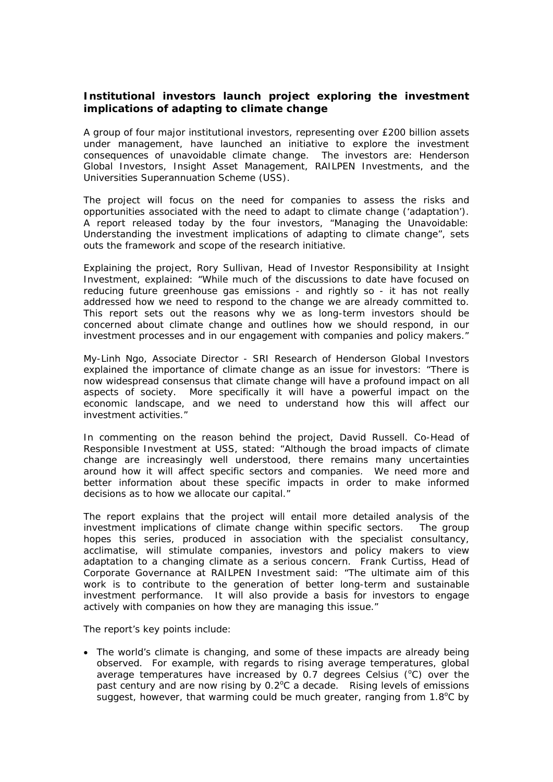## **Institutional investors launch project exploring the investment implications of adapting to climate change**

A group of four major institutional investors, representing over £200 billion assets under management, have launched an initiative to explore the investment consequences of unavoidable climate change. The investors are: Henderson Global Investors, Insight Asset Management, RAILPEN Investments, and the Universities Superannuation Scheme (USS).

The project will focus on the need for companies to assess the risks and opportunities associated with the need to adapt to climate change ('adaptation'). A report released today by the four investors, *"Managing the Unavoidable: Understanding the investment implications of adapting to climate change"*, sets outs the framework and scope of the research initiative.

Explaining the project, Rory Sullivan, Head of Investor Responsibility at Insight Investment, explained: "*While much of the discussions to date have focused on reducing future greenhouse gas emissions - and rightly so - it has not really addressed how we need to respond to the change we are already committed to. This report sets out the reasons why we as long-term investors should be concerned about climate change and outlines how we should respond, in our investment processes and in our engagement with companies and policy makers."* 

My-Linh Ngo, Associate Director - SRI Research of Henderson Global Investors explained the importance of climate change as an issue for investors: "*There is now widespread consensus that climate change will have a profound impact on all aspects of society. More specifically it will have a powerful impact on the economic landscape, and we need to understand how this will affect our investment activities."* 

In commenting on the reason behind the project, David Russell. Co-Head of Responsible Investment at USS, stated: "*Although the broad impacts of climate change are increasingly well understood, there remains many uncertainties around how it will affect specific sectors and companies. We need more and better information about these specific impacts in order to make informed decisions as to how we allocate our capital."* 

The report explains that the project will entail more detailed analysis of the investment implications of climate change within specific sectors. The group hopes this series, produced in association with the specialist consultancy, acclimatise, will stimulate companies, investors and policy makers to view adaptation to a changing climate as a serious concern.Frank Curtiss, Head of Corporate Governance at RAILPEN Investment said: *"The ultimate aim of this work is to contribute to the generation of better long-term and sustainable investment performance. It will also provide a basis for investors to engage actively with companies on how they are managing this issue.*"

The report's key points include:

• The world's climate is changing, and some of these impacts are already being observed. For example, with regards to rising average temperatures, global average temperatures have increased by 0.7 degrees Celsius ( $^{\circ}$ C) over the past century and are now rising by 0.2°C a decade. Rising levels of emissions suggest, however, that warming could be much greater, ranging from  $1.8^{\circ}$ C by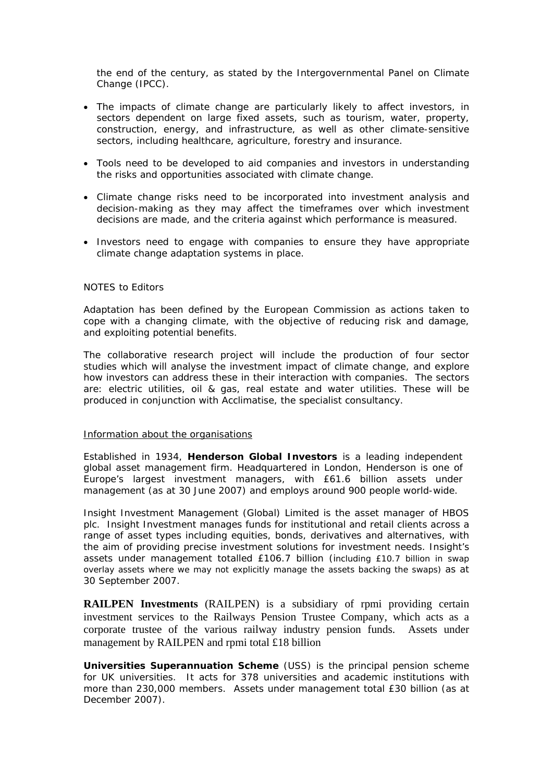the end of the century, as stated by the Intergovernmental Panel on Climate Change (IPCC).

- The impacts of climate change are particularly likely to affect investors, in sectors dependent on large fixed assets, such as tourism, water, property, construction, energy, and infrastructure, as well as other climate-sensitive sectors, including healthcare, agriculture, forestry and insurance.
- Tools need to be developed to aid companies and investors in understanding the risks and opportunities associated with climate change.
- Climate change risks need to be incorporated into investment analysis and decision-making as they may affect the timeframes over which investment decisions are made, and the criteria against which performance is measured.
- Investors need to engage with companies to ensure they have appropriate climate change adaptation systems in place.

## NOTES to Editors

Adaptation has been defined by the European Commission as actions taken to cope with a changing climate, with the objective of reducing risk and damage, and exploiting potential benefits.

The collaborative research project will include the production of four sector studies which will analyse the investment impact of climate change, and explore how investors can address these in their interaction with companies. The sectors are: electric utilities, oil & gas, real estate and water utilities. These will be produced in conjunction with Acclimatise, the specialist consultancy.

## Information about the organisations

Established in 1934, **Henderson Global Investors** is a leading independent global asset management firm. Headquartered in London, Henderson is one of Europe's largest investment managers, with £61.6 billion assets under management (as at 30 June 2007) and employs around 900 people world-wide.

Insight Investment Management (Global) Limited is the asset manager of HBOS plc. Insight Investment manages funds for institutional and retail clients across a range of asset types including equities, bonds, derivatives and alternatives, with the aim of providing precise investment solutions for investment needs. Insight's assets under management totalled £106.7 billion (including £10.7 billion in swap overlay assets where we may not explicitly manage the assets backing the swaps) as at 30 September 2007.

**RAILPEN Investments** (RAILPEN) is a subsidiary of rpmi providing certain investment services to the Railways Pension Trustee Company, which acts as a corporate trustee of the various railway industry pension funds. Assets under management by RAILPEN and rpmi total £18 billion

**Universities Superannuation Scheme** (USS) is the principal pension scheme for UK universities. It acts for 378 universities and academic institutions with more than 230,000 members. Assets under management total £30 billion (as at December 2007).